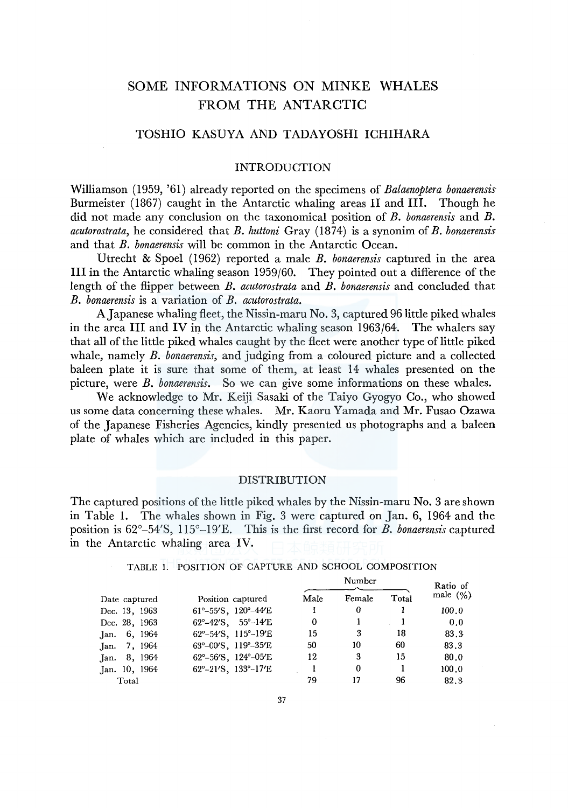# SOME INFORMATIONS ON MINKE WHALES FROM THE ANTARCTIC

## TOSHIO KASUYA AND TADAYOSHI ICHIHARA

## INTRODUCTION

Williamson ( 1959, '61) already reported on the specimens of *Balaenoptera bonaerensis*  Burmeister (1867) caught in the Antarctic whaling areas II and III. Though he did not made any conclusion on the taxonomical position of *B. bonaerensis* and *B. acutorostrata,* he considered that *B. huttoni* Gray (1874) is a synonim of *B. bonaerensis*  and that *B. bonaerensis* will be common in the Antarctic Ocean.

Utrecht & Spoel (1962) reported a male *B. bonaerensis* captured in the area III in the Antarctic whaling season 1959/60. They pointed out a difference of the length of the flipper between *B. acutorostrata* and *B. bonaerensis* and concluded that *B. bonaerensis* is a variation of *B. acutorostrata.* 

A Japanese whaling fleet, the Nissin-maru No. 3, captured 96 little piked whales in the area III and IV in the Antarctic whaling season 1963/64. The whalers say that all of the little piked whales caught by the fleet were another type of little piked whale, namely *B. bonaerensis,* and judging from a coloured picture and a collected baleen plate it is sure that some of them, at least 14 whales presented on the picture, were *B. bonaerensis.* So we can give some informations on these whales.

We acknowledge to Mr. Keiji Sasaki of the Taiyo Gyogyo Co., who showed us some data concerning these whales. Mr. Kaoru Yamada and Mr. Fusao Ozawa of the Japanese Fisheries Agencies, kindly presented us photographs and a baleen plate of whales which are included in this paper.

#### DISTRIBUTION

The captured positions of the little piked whales by the Nissin-maru No. 3 are shown in Table 1. The whales shown in Fig. 3 were captured on Jan. 6, 1964 and the position is 62°-54'S, ll5°-l9'E. This is the first record for *B. bonaerensis* captured in the Antarctic whaling area IV.

|               |                                                             |          | Number |       | Ratio of    |
|---------------|-------------------------------------------------------------|----------|--------|-------|-------------|
| Date captured | Position captured                                           | Male     | Female | Total | male $(\%)$ |
| Dec. 13, 1963 | $61^{\circ} - 55^{\prime}$ S, $120^{\circ} - 44^{\prime}$ E |          | 0      |       | 100.0       |
| Dec. 28, 1963 | $62^{\circ} - 42^{\prime}$ S. $55^{\circ} - 14^{\prime}$ E  | $\Omega$ |        |       | 0.0         |
| Jan. 6, 1964  | 62°-54′S, 115°-19′E                                         | 15       | 3      | 18    | 83.3        |
| Jan. 7, 1964  | 63°-00'S, 119°-35'E                                         | 50       | 10     | 60    | 83.3        |
| Jan. 8, 1964  | $62^{\circ}-56^{\prime}S$ , $124^{\circ}-05^{\prime}E$      | 12       | 3      | 15    | 80.0        |
| Jan. 10, 1964 | $62^{\circ} - 21^{\prime}$ S, $133^{\circ} - 17^{\prime}$ E |          | 0      |       | 100.0       |
| Total         |                                                             | 79       | 17     | 96    | 82.3        |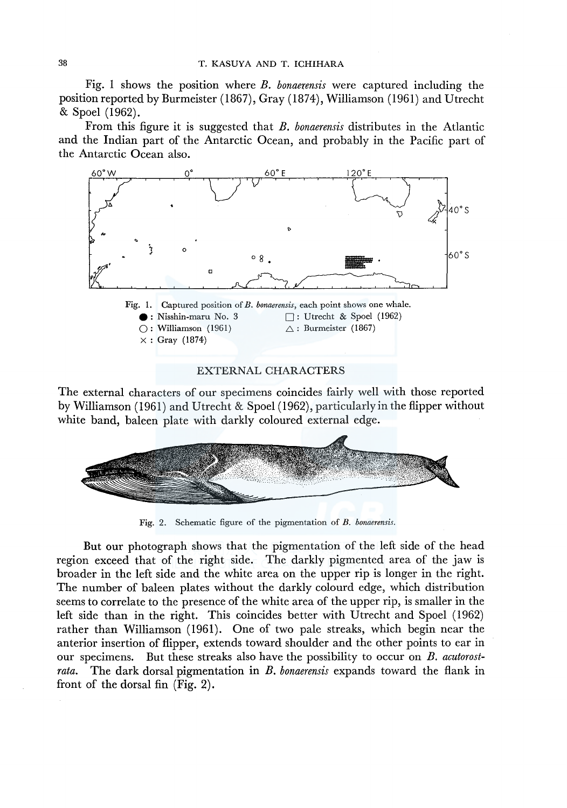Fig. 1 shows the position where *B. bonaerensis* were captured including the position reported by Burmeister (1867), Gray (1874), Williamson (1961) and Utrecht & Spoel (1962).

From this figure it is suggested that *B. bonaerensis* distributes in the Atlantic and the Indian part of the Antarctic Ocean, and probably in the Pacific part of the Antarctic Ocean also.



The external characters of our specimens coincides fairly well with those reported by Williamson (1961) and Utrecht & Spoel (1962), particularly in the flipper without white band, baleen plate with darkly coloured external edge.



Fig. 2. Schematic figure of the pigmentation of *B. bonaerensis.* 

But our photograph shows that the pigmentation of the left side of the head region exceed that of the right side. The darkly pigmented area of the jaw is broader in the left side and the white area on the upper rip is longer in the right. The number of baleen plates without the darkly colourd edge, which distribution seems to correlate to the presence of the white area of the upper rip, is smaller in the left side than in the right. This coincides better with Utrecht and Spoel ( 1962) rather than Williamson (1961). One of two pale streaks, which begin near the anterior insertion of flipper, extends toward shoulder and the other points to ear in our specimens. But these streaks also have the possibility to occur on *B. acutorostrata.* The dark dorsal pigmentation in *B. bonaerensis* expands toward the flank in front of the dorsal fin (Fig. 2).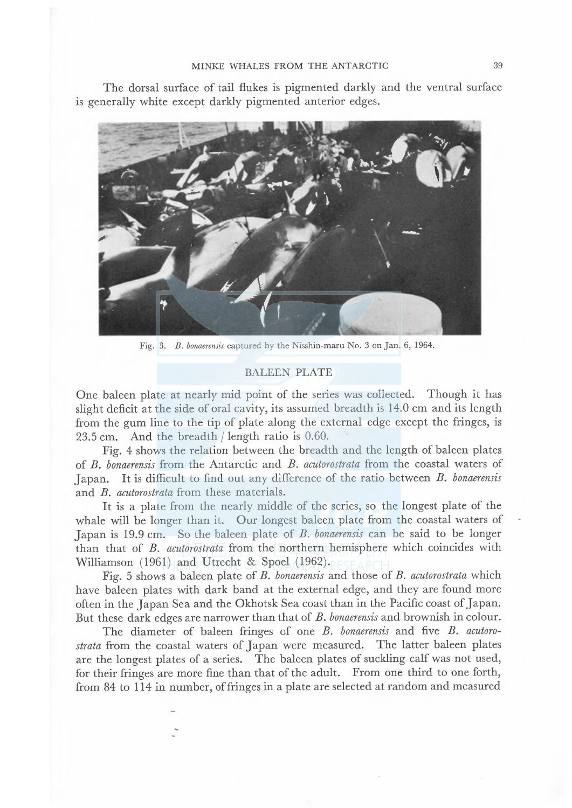### MINKE WHALES FROM THE ANTARCTIC 39

The dorsal surface of tail flukes is pigmented darkly and the ventral surface is generally white except darkly pigmented anterior edges.



Fig. 3. B. bonaerensis captured by the Nisshin-maru No. 3 on Jan. 6, 1964.

#### BALEEN PLATE

One baleen plate at nearly mid point of the series was collected. Though it has slight deficit at the side of oral cavity, its assumed breadth is 14.0 cm and its length from the gum line to the tip of plate along the external edge except the fringes, is 23.5 cm. And the breadth / length ratio is 0.60.

Fig. 4 shows the relation between the breadth and the length of baleen plates of B. bonaerensis from the Antarctic and B. cutorostrata from the coastal waters of Japan. It is difficult to find out any difference of the ratio between B. bonaerensis and B. acutorostrata from these materials.

It is a plate from the nearly middle of the series, so the longest plate of the whale will be longer than it. Our longest baleen plate from the coastal waters of Japan is 19.9 cm. So the baleen plate of B. bonaerensis can be said to be longer than that of B. acutorostrata from the northern hemisphere which coincides with Williamson (1961) and Utrecht & Spoel (1962).

Fig. 5 shows a baleen plate of  $B$ . bonaerensis and those of  $B$ . acutorostrata which have baleen plates with dark band at the external edge, and they are found more often in the Japan Sea and the Okhotsk Sea coast than in the Pacific coast of Japan. But these dark edges are narrower than that of B. bonaerensis and brownish in colour.

The diameter of baleen fringes of one  $B$ . bonaerensis and five  $B$ . acutorostrata from the coastal waters of Japan were measured. The latter baleen plates are the longest plates of a series. The baleen plates of suckling calf was not used, for their fringes are more fine than that of the adult. From one third to one forth, from 84 to 114 in number, of fringes in a plate are selected at random and measured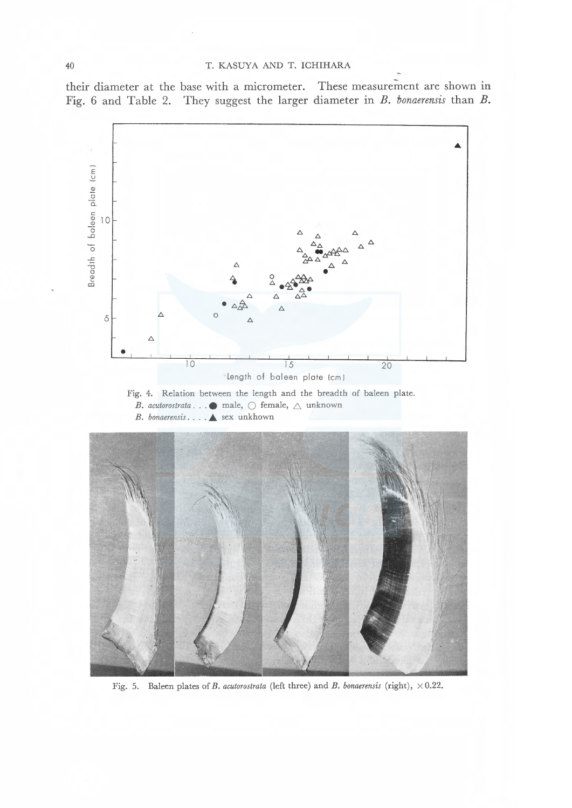#### 40 T. KASUYA AND T. ICHIHARA

their diameter at the base with a micrometer. These measurement are shown in Fig. 6 and Table 2. They suggest the larger diameter in  $B$ . tonaerensis than  $B$ .



Fig. 5. Baleen plates of B. acutorostrata (left three) and B. bonaerensis (right),  $\times$  0.22.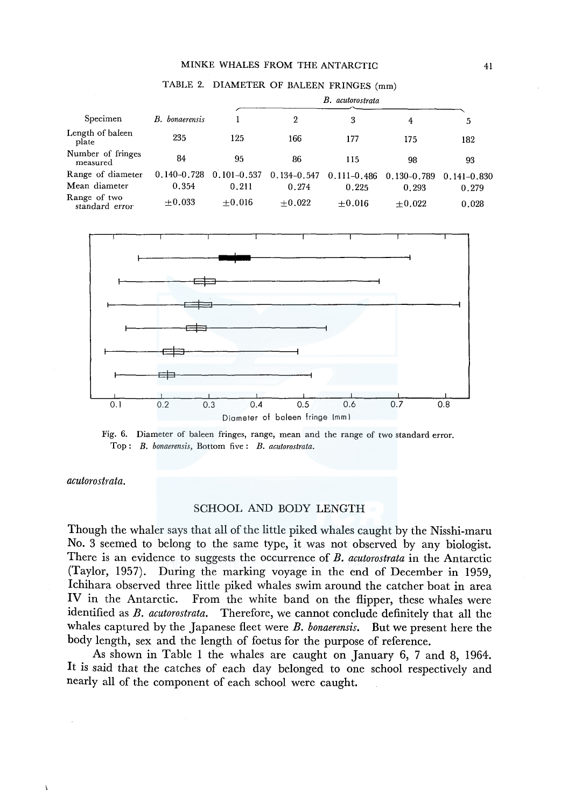#### MINKE WHALES FROM THE ANTARCTIC 41

|                                |                       | B. acutorostrata |                 |                 |                 |                 |
|--------------------------------|-----------------------|------------------|-----------------|-----------------|-----------------|-----------------|
| Specimen                       | <b>B.</b> bonaerensis |                  | 2               | 3               | 4               | 5               |
| Length of baleen<br>plate      | 235                   | 125              | 166             | 177             | 175             | 182             |
| Number of fringes<br>measured  | 84                    | 95               | 86              | 115             | 98              | 93              |
| Range of diameter              | $0.140 - 0.728$       | $0.101 - 0.537$  | $0.134 - 0.547$ | $0.111 - 0.486$ | $0.130 - 0.789$ | $0.141 - 0.830$ |
| Mean diameter                  | 0.354                 | 0.211            | 0.274           | 0.225           | 0.293           | 0.279           |
| Range of two<br>standard error | $+0.033$              | $+0.016$         | $+0.022$        | $+0.016$        | $+0.022$        | 0.028           |





Fig. 6. Diameter of baleen fringes, range, mean and the range of two standard error. Top: *B. bonaerensis,* Bottom five: *B. acutorostrata.* 

#### *acutorostrata.*

 $\mathbf{t}$ 

#### SCHOOL AND BODY LENGTH

Though the whaler says that all of the little piked whales caught by the Nisshi-maru No. 3 seemed to belong to the same type, it was not observed by any biologist. There is an evidence to suggests the occurrence of *B. acutorostrata* in the Antarctic (Taylor, 1957). During the marking voyage in the end of December in 1959, lchihara observed three little piked whales swim around the catcher boat in area IV in the Antarctic. From the white band on the flipper, these whales were identified as *B. acutorostrata.* Therefore, we cannot conclude definitely that all the whales captured by the Japanese fleet were *B. bonaerensis.* But we present here the body length, sex and the length of foetus for the purpose of reference.

As shown in Table 1 the whales are caught on January 6, 7 and 8, 1964. It is said that the catches of each day belonged to one school respectively and nearly all of the component of each school were caught.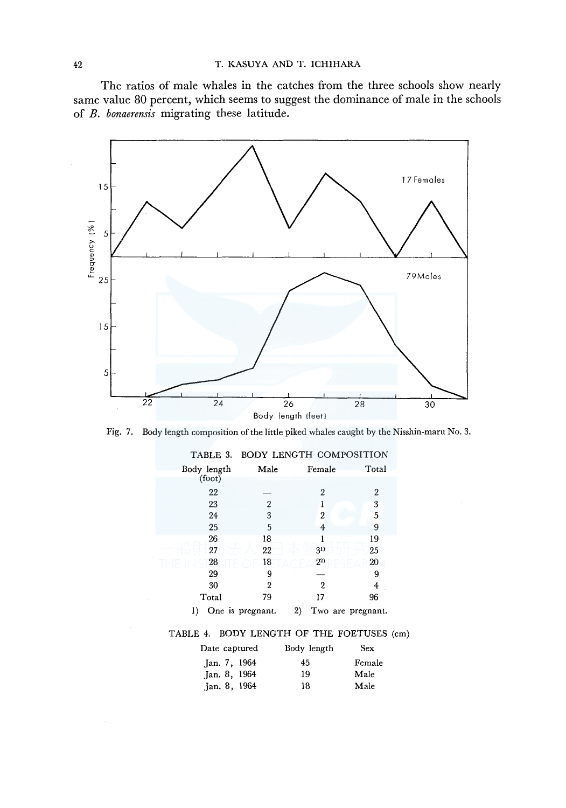The ratios of male whales in the catches from the three schools show nearly same value 80 percent, which seems to suggest the dominance of male in the schools of *B. bonaerensis* migrating these latitude.



Fig. 7. Body length composition of the little piked whales caught by the Nisshin-maru No. 3.

| TABLE 3.    |                  | <b>BODY LENGTH COMPOSITION</b> |                |
|-------------|------------------|--------------------------------|----------------|
| Body length | Male             | Female                         | Total          |
| (foot)      |                  |                                |                |
| 22          |                  | 2                              | $\overline{2}$ |
| 23          | $\overline{2}$   |                                | 3              |
| 24          | 3                | 2                              | 5              |
| 25          | 5                | 4                              | 9              |
| 26          | 18               |                                | 19             |
| 27          | 22               | 31)                            | 25             |
| 28          | 18               | $2^{2}$                        | 20             |
| 29          | 9                |                                | 9              |
| 30          | $\mathbf{2}$     | 2                              | 4              |
| Total       | 79               | 17                             | 96             |
| I)          | One is pregnant. | 2)<br>Two are pregnant.        |                |

#### TABLE 4. BODY LENGTH OF THE FOETUSES (cm)

| Date captured  | Body length | Sex    |
|----------------|-------------|--------|
| Jan. 7, 1964   | 45          | Female |
| Jan. 8, 1964   | 19          | Male   |
| Jan. $8, 1964$ | 18          | Male   |